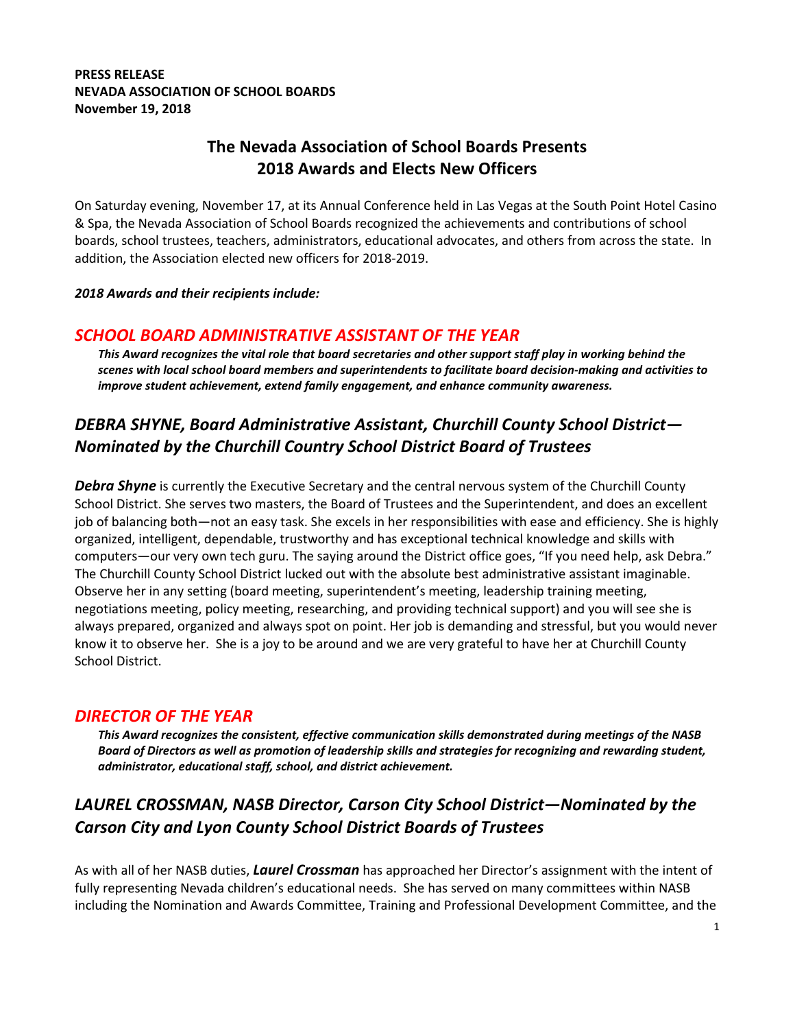#### PRESS RELEASE NEVADA ASSOCIATION OF SCHOOL BOARDS November 19, 2018

## The Nevada Association of School Boards Presents 2018 Awards and Elects New Officers

On Saturday evening, November 17, at its Annual Conference held in Las Vegas at the South Point Hotel Casino & Spa, the Nevada Association of School Boards recognized the achievements and contributions of school boards, school trustees, teachers, administrators, educational advocates, and others from across the state. In addition, the Association elected new officers for 2018-2019.

#### 2018 Awards and their recipients include:

#### SCHOOL BOARD ADMINISTRATIVE ASSISTANT OF THE YEAR

This Award recognizes the vital role that board secretaries and other support staff play in working behind the scenes with local school board members and superintendents to facilitate board decision-making and activities to improve student achievement, extend family engagement, and enhance community awareness.

# DEBRA SHYNE, Board Administrative Assistant, Churchill County School District— Nominated by the Churchill Country School District Board of Trustees

**Debra Shyne** is currently the Executive Secretary and the central nervous system of the Churchill County School District. She serves two masters, the Board of Trustees and the Superintendent, and does an excellent job of balancing both—not an easy task. She excels in her responsibilities with ease and efficiency. She is highly organized, intelligent, dependable, trustworthy and has exceptional technical knowledge and skills with computers—our very own tech guru. The saying around the District office goes, "If you need help, ask Debra." The Churchill County School District lucked out with the absolute best administrative assistant imaginable. Observe her in any setting (board meeting, superintendent's meeting, leadership training meeting, negotiations meeting, policy meeting, researching, and providing technical support) and you will see she is always prepared, organized and always spot on point. Her job is demanding and stressful, but you would never know it to observe her. She is a joy to be around and we are very grateful to have her at Churchill County School District.

### DIRECTOR OF THE YEAR

This Award recognizes the consistent, effective communication skills demonstrated during meetings of the NASB Board of Directors as well as promotion of leadership skills and strategies for recognizing and rewarding student, administrator, educational staff, school, and district achievement.

# LAUREL CROSSMAN, NASB Director, Carson City School District—Nominated by the Carson City and Lyon County School District Boards of Trustees

As with all of her NASB duties, Laurel Crossman has approached her Director's assignment with the intent of fully representing Nevada children's educational needs. She has served on many committees within NASB including the Nomination and Awards Committee, Training and Professional Development Committee, and the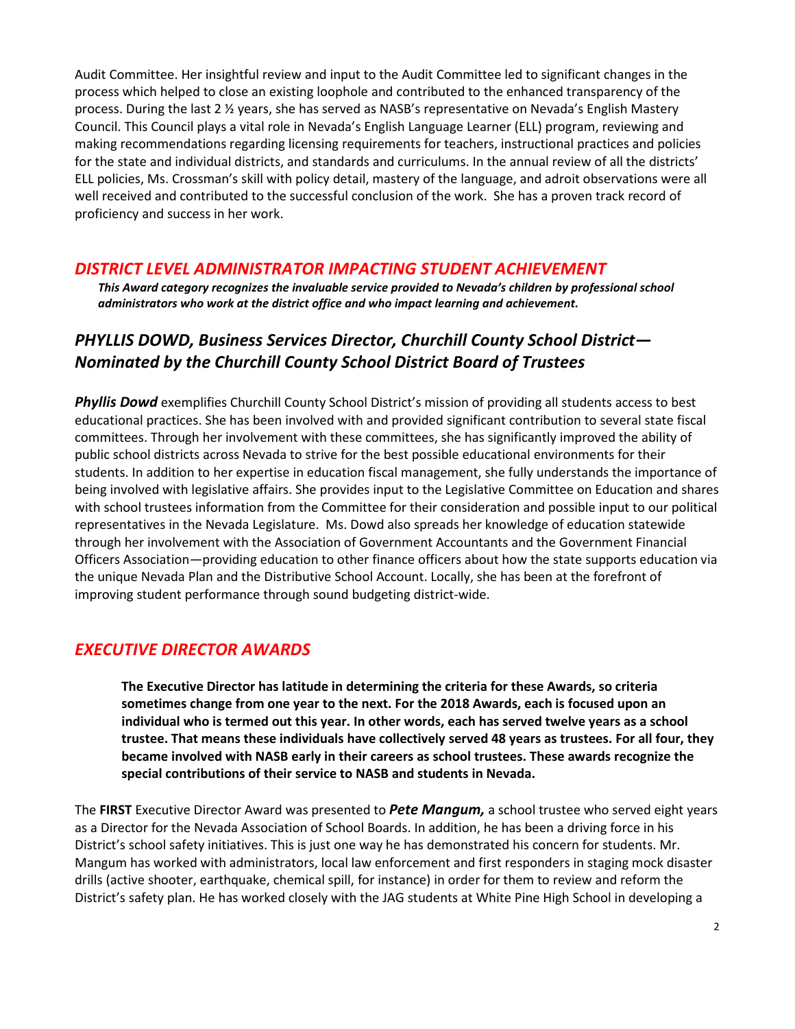Audit Committee. Her insightful review and input to the Audit Committee led to significant changes in the process which helped to close an existing loophole and contributed to the enhanced transparency of the process. During the last 2 ½ years, she has served as NASB's representative on Nevada's English Mastery Council. This Council plays a vital role in Nevada's English Language Learner (ELL) program, reviewing and making recommendations regarding licensing requirements for teachers, instructional practices and policies for the state and individual districts, and standards and curriculums. In the annual review of all the districts' ELL policies, Ms. Crossman's skill with policy detail, mastery of the language, and adroit observations were all well received and contributed to the successful conclusion of the work. She has a proven track record of proficiency and success in her work.

### DISTRICT LEVEL ADMINISTRATOR IMPACTING STUDENT ACHIEVEMENT

This Award category recognizes the invaluable service provided to Nevada's children by professional school administrators who work at the district office and who impact learning and achievement.

## PHYLLIS DOWD, Business Services Director, Churchill County School District— Nominated by the Churchill County School District Board of Trustees

**Phyllis Dowd** exemplifies Churchill County School District's mission of providing all students access to best educational practices. She has been involved with and provided significant contribution to several state fiscal committees. Through her involvement with these committees, she has significantly improved the ability of public school districts across Nevada to strive for the best possible educational environments for their students. In addition to her expertise in education fiscal management, she fully understands the importance of being involved with legislative affairs. She provides input to the Legislative Committee on Education and shares with school trustees information from the Committee for their consideration and possible input to our political representatives in the Nevada Legislature. Ms. Dowd also spreads her knowledge of education statewide through her involvement with the Association of Government Accountants and the Government Financial Officers Association—providing education to other finance officers about how the state supports education via the unique Nevada Plan and the Distributive School Account. Locally, she has been at the forefront of improving student performance through sound budgeting district-wide.

### EXECUTIVE DIRECTOR AWARDS

The Executive Director has latitude in determining the criteria for these Awards, so criteria sometimes change from one year to the next. For the 2018 Awards, each is focused upon an individual who is termed out this year. In other words, each has served twelve years as a school trustee. That means these individuals have collectively served 48 years as trustees. For all four, they became involved with NASB early in their careers as school trustees. These awards recognize the special contributions of their service to NASB and students in Nevada.

The FIRST Executive Director Award was presented to *Pete Mangum*, a school trustee who served eight years as a Director for the Nevada Association of School Boards. In addition, he has been a driving force in his District's school safety initiatives. This is just one way he has demonstrated his concern for students. Mr. Mangum has worked with administrators, local law enforcement and first responders in staging mock disaster drills (active shooter, earthquake, chemical spill, for instance) in order for them to review and reform the District's safety plan. He has worked closely with the JAG students at White Pine High School in developing a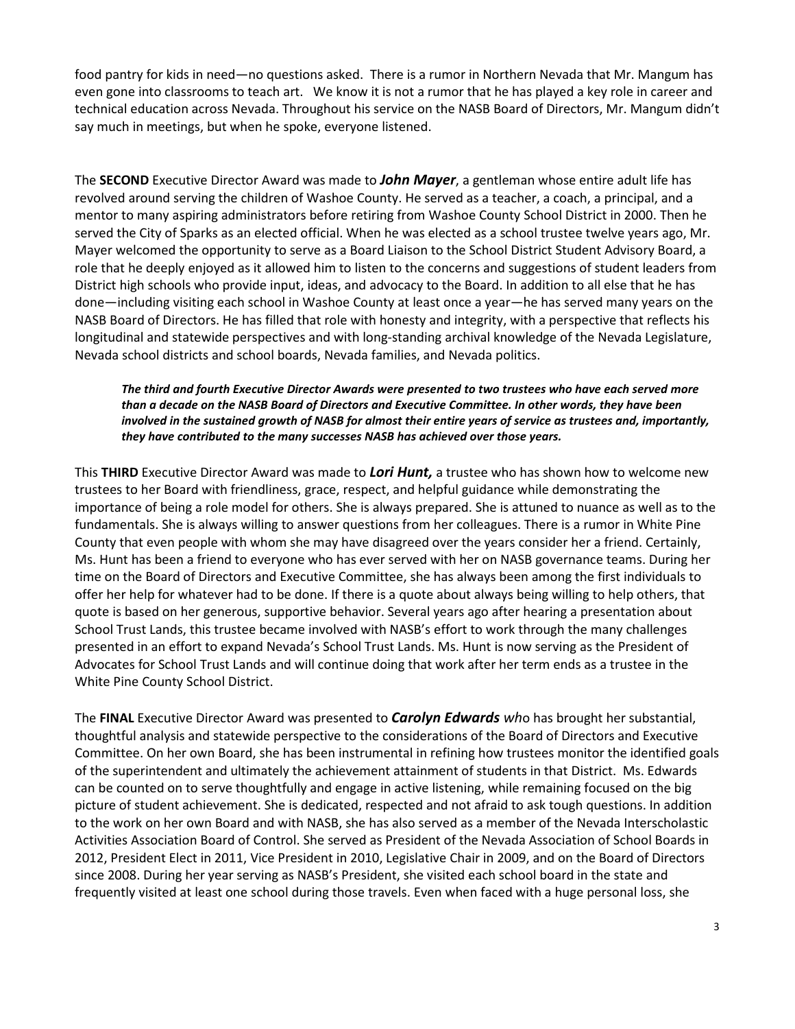food pantry for kids in need—no questions asked. There is a rumor in Northern Nevada that Mr. Mangum has even gone into classrooms to teach art. We know it is not a rumor that he has played a key role in career and technical education across Nevada. Throughout his service on the NASB Board of Directors, Mr. Mangum didn't say much in meetings, but when he spoke, everyone listened.

The SECOND Executive Director Award was made to John Mayer, a gentleman whose entire adult life has revolved around serving the children of Washoe County. He served as a teacher, a coach, a principal, and a mentor to many aspiring administrators before retiring from Washoe County School District in 2000. Then he served the City of Sparks as an elected official. When he was elected as a school trustee twelve years ago, Mr. Mayer welcomed the opportunity to serve as a Board Liaison to the School District Student Advisory Board, a role that he deeply enjoyed as it allowed him to listen to the concerns and suggestions of student leaders from District high schools who provide input, ideas, and advocacy to the Board. In addition to all else that he has done—including visiting each school in Washoe County at least once a year—he has served many years on the NASB Board of Directors. He has filled that role with honesty and integrity, with a perspective that reflects his longitudinal and statewide perspectives and with long-standing archival knowledge of the Nevada Legislature, Nevada school districts and school boards, Nevada families, and Nevada politics.

The third and fourth Executive Director Awards were presented to two trustees who have each served more than a decade on the NASB Board of Directors and Executive Committee. In other words, they have been involved in the sustained growth of NASB for almost their entire years of service as trustees and, importantly, they have contributed to the many successes NASB has achieved over those years.

This THIRD Executive Director Award was made to Lori Hunt, a trustee who has shown how to welcome new trustees to her Board with friendliness, grace, respect, and helpful guidance while demonstrating the importance of being a role model for others. She is always prepared. She is attuned to nuance as well as to the fundamentals. She is always willing to answer questions from her colleagues. There is a rumor in White Pine County that even people with whom she may have disagreed over the years consider her a friend. Certainly, Ms. Hunt has been a friend to everyone who has ever served with her on NASB governance teams. During her time on the Board of Directors and Executive Committee, she has always been among the first individuals to offer her help for whatever had to be done. If there is a quote about always being willing to help others, that quote is based on her generous, supportive behavior. Several years ago after hearing a presentation about School Trust Lands, this trustee became involved with NASB's effort to work through the many challenges presented in an effort to expand Nevada's School Trust Lands. Ms. Hunt is now serving as the President of Advocates for School Trust Lands and will continue doing that work after her term ends as a trustee in the White Pine County School District.

The FINAL Executive Director Award was presented to *Carolyn Edwards who* has brought her substantial, thoughtful analysis and statewide perspective to the considerations of the Board of Directors and Executive Committee. On her own Board, she has been instrumental in refining how trustees monitor the identified goals of the superintendent and ultimately the achievement attainment of students in that District. Ms. Edwards can be counted on to serve thoughtfully and engage in active listening, while remaining focused on the big picture of student achievement. She is dedicated, respected and not afraid to ask tough questions. In addition to the work on her own Board and with NASB, she has also served as a member of the Nevada Interscholastic Activities Association Board of Control. She served as President of the Nevada Association of School Boards in 2012, President Elect in 2011, Vice President in 2010, Legislative Chair in 2009, and on the Board of Directors since 2008. During her year serving as NASB's President, she visited each school board in the state and frequently visited at least one school during those travels. Even when faced with a huge personal loss, she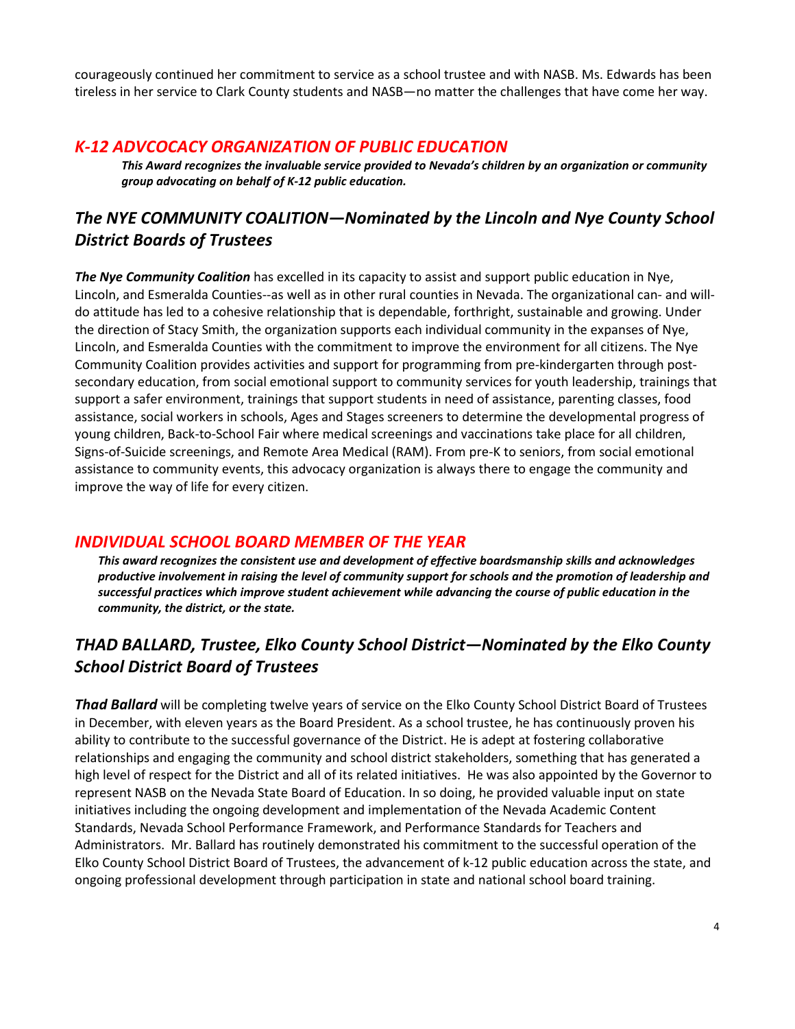courageously continued her commitment to service as a school trustee and with NASB. Ms. Edwards has been tireless in her service to Clark County students and NASB—no matter the challenges that have come her way.

#### K-12 ADVCOCACY ORGANIZATION OF PUBLIC EDUCATION

This Award recognizes the invaluable service provided to Nevada's children by an organization or community group advocating on behalf of K-12 public education.

# The NYE COMMUNITY COALITION—Nominated by the Lincoln and Nye County School District Boards of Trustees

The Nye Community Coalition has excelled in its capacity to assist and support public education in Nye, Lincoln, and Esmeralda Counties--as well as in other rural counties in Nevada. The organizational can- and willdo attitude has led to a cohesive relationship that is dependable, forthright, sustainable and growing. Under the direction of Stacy Smith, the organization supports each individual community in the expanses of Nye, Lincoln, and Esmeralda Counties with the commitment to improve the environment for all citizens. The Nye Community Coalition provides activities and support for programming from pre-kindergarten through postsecondary education, from social emotional support to community services for youth leadership, trainings that support a safer environment, trainings that support students in need of assistance, parenting classes, food assistance, social workers in schools, Ages and Stages screeners to determine the developmental progress of young children, Back-to-School Fair where medical screenings and vaccinations take place for all children, Signs-of-Suicide screenings, and Remote Area Medical (RAM). From pre-K to seniors, from social emotional assistance to community events, this advocacy organization is always there to engage the community and improve the way of life for every citizen.

#### INDIVIDUAL SCHOOL BOARD MEMBER OF THE YEAR

This award recognizes the consistent use and development of effective boardsmanship skills and acknowledges productive involvement in raising the level of community support for schools and the promotion of leadership and successful practices which improve student achievement while advancing the course of public education in the community, the district, or the state.

## THAD BALLARD, Trustee, Elko County School District—Nominated by the Elko County School District Board of Trustees

**Thad Ballard** will be completing twelve years of service on the Elko County School District Board of Trustees in December, with eleven years as the Board President. As a school trustee, he has continuously proven his ability to contribute to the successful governance of the District. He is adept at fostering collaborative relationships and engaging the community and school district stakeholders, something that has generated a high level of respect for the District and all of its related initiatives. He was also appointed by the Governor to represent NASB on the Nevada State Board of Education. In so doing, he provided valuable input on state initiatives including the ongoing development and implementation of the Nevada Academic Content Standards, Nevada School Performance Framework, and Performance Standards for Teachers and Administrators. Mr. Ballard has routinely demonstrated his commitment to the successful operation of the Elko County School District Board of Trustees, the advancement of k-12 public education across the state, and ongoing professional development through participation in state and national school board training.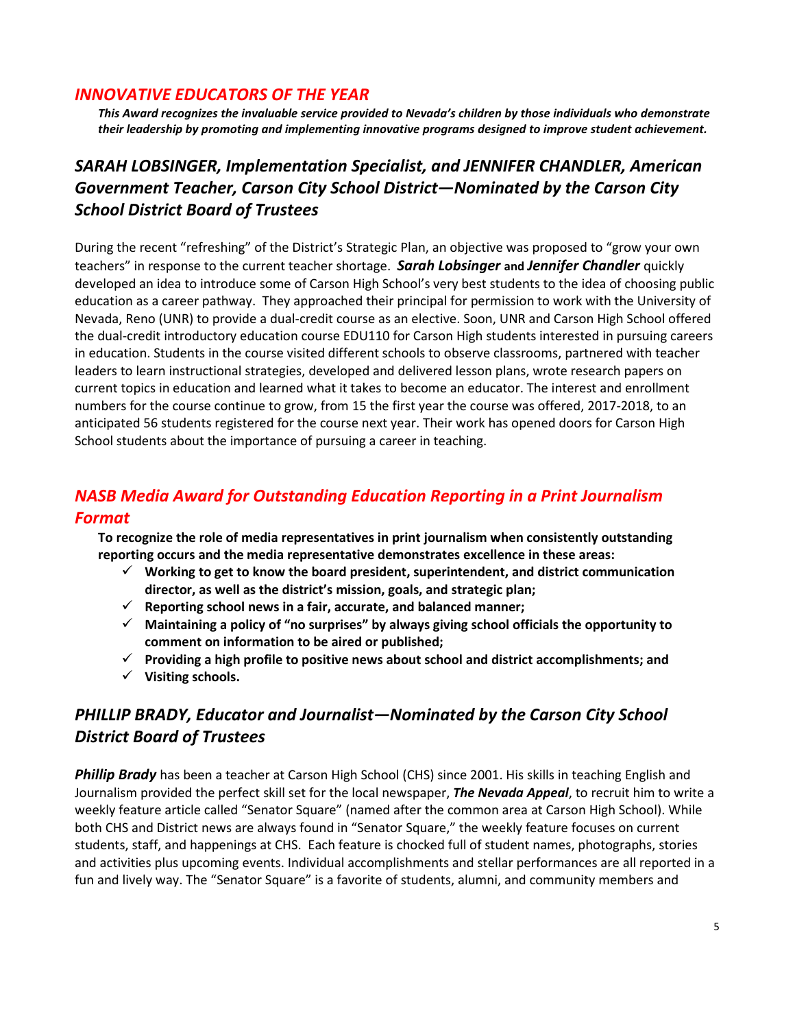### INNOVATIVE EDUCATORS OF THE YEAR

This Award recognizes the invaluable service provided to Nevada's children by those individuals who demonstrate their leadership by promoting and implementing innovative programs designed to improve student achievement.

# SARAH LOBSINGER, Implementation Specialist, and JENNIFER CHANDLER, American Government Teacher, Carson City School District—Nominated by the Carson City School District Board of Trustees

During the recent "refreshing" of the District's Strategic Plan, an objective was proposed to "grow your own teachers" in response to the current teacher shortage. **Sarah Lobsinger and Jennifer Chandler** quickly developed an idea to introduce some of Carson High School's very best students to the idea of choosing public education as a career pathway. They approached their principal for permission to work with the University of Nevada, Reno (UNR) to provide a dual-credit course as an elective. Soon, UNR and Carson High School offered the dual-credit introductory education course EDU110 for Carson High students interested in pursuing careers in education. Students in the course visited different schools to observe classrooms, partnered with teacher leaders to learn instructional strategies, developed and delivered lesson plans, wrote research papers on current topics in education and learned what it takes to become an educator. The interest and enrollment numbers for the course continue to grow, from 15 the first year the course was offered, 2017-2018, to an anticipated 56 students registered for the course next year. Their work has opened doors for Carson High School students about the importance of pursuing a career in teaching.

## NASB Media Award for Outstanding Education Reporting in a Print Journalism Format

To recognize the role of media representatives in print journalism when consistently outstanding reporting occurs and the media representative demonstrates excellence in these areas:

- $\checkmark$  Working to get to know the board president, superintendent, and district communication director, as well as the district's mission, goals, and strategic plan;
- $\checkmark$  Reporting school news in a fair, accurate, and balanced manner;
- $\checkmark$  Maintaining a policy of "no surprises" by always giving school officials the opportunity to comment on information to be aired or published;
- $\checkmark$  Providing a high profile to positive news about school and district accomplishments; and
- $\checkmark$  Visiting schools.

# PHILLIP BRADY, Educator and Journalist—Nominated by the Carson City School District Board of Trustees

**Phillip Brady** has been a teacher at Carson High School (CHS) since 2001. His skills in teaching English and Journalism provided the perfect skill set for the local newspaper, The Nevada Appeal, to recruit him to write a weekly feature article called "Senator Square" (named after the common area at Carson High School). While both CHS and District news are always found in "Senator Square," the weekly feature focuses on current students, staff, and happenings at CHS. Each feature is chocked full of student names, photographs, stories and activities plus upcoming events. Individual accomplishments and stellar performances are all reported in a fun and lively way. The "Senator Square" is a favorite of students, alumni, and community members and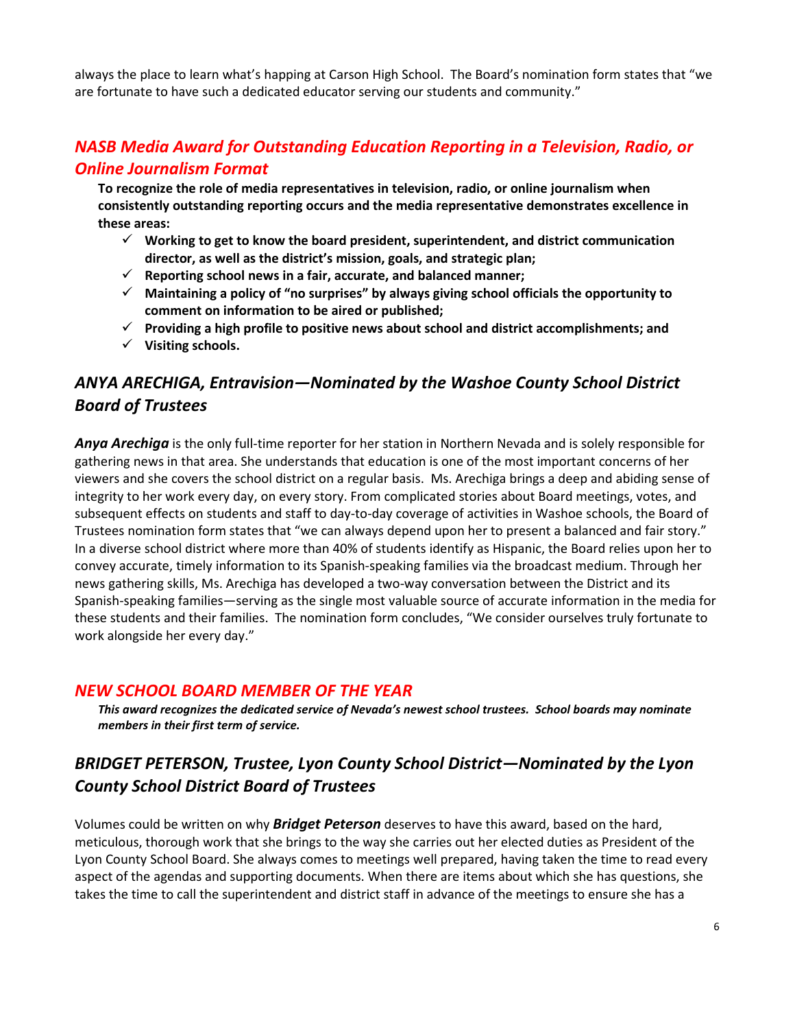always the place to learn what's happing at Carson High School. The Board's nomination form states that "we are fortunate to have such a dedicated educator serving our students and community."

## NASB Media Award for Outstanding Education Reporting in a Television, Radio, or Online Journalism Format

To recognize the role of media representatives in television, radio, or online journalism when consistently outstanding reporting occurs and the media representative demonstrates excellence in these areas:

- $\checkmark$  Working to get to know the board president, superintendent, and district communication director, as well as the district's mission, goals, and strategic plan;
- $\checkmark$  Reporting school news in a fair, accurate, and balanced manner;
- $\checkmark$  Maintaining a policy of "no surprises" by always giving school officials the opportunity to comment on information to be aired or published;
- $\checkmark$  Providing a high profile to positive news about school and district accomplishments; and
- $\checkmark$  Visiting schools.

# ANYA ARECHIGA, Entravision—Nominated by the Washoe County School District Board of Trustees

Anya Arechiga is the only full-time reporter for her station in Northern Nevada and is solely responsible for gathering news in that area. She understands that education is one of the most important concerns of her viewers and she covers the school district on a regular basis. Ms. Arechiga brings a deep and abiding sense of integrity to her work every day, on every story. From complicated stories about Board meetings, votes, and subsequent effects on students and staff to day-to-day coverage of activities in Washoe schools, the Board of Trustees nomination form states that "we can always depend upon her to present a balanced and fair story." In a diverse school district where more than 40% of students identify as Hispanic, the Board relies upon her to convey accurate, timely information to its Spanish-speaking families via the broadcast medium. Through her news gathering skills, Ms. Arechiga has developed a two-way conversation between the District and its Spanish-speaking families—serving as the single most valuable source of accurate information in the media for these students and their families. The nomination form concludes, "We consider ourselves truly fortunate to work alongside her every day."

#### NEW SCHOOL BOARD MEMBER OF THE YEAR

This award recognizes the dedicated service of Nevada's newest school trustees. School boards may nominate members in their first term of service.

## BRIDGET PETERSON, Trustee, Lyon County School District—Nominated by the Lyon County School District Board of Trustees

Volumes could be written on why **Bridget Peterson** deserves to have this award, based on the hard, meticulous, thorough work that she brings to the way she carries out her elected duties as President of the Lyon County School Board. She always comes to meetings well prepared, having taken the time to read every aspect of the agendas and supporting documents. When there are items about which she has questions, she takes the time to call the superintendent and district staff in advance of the meetings to ensure she has a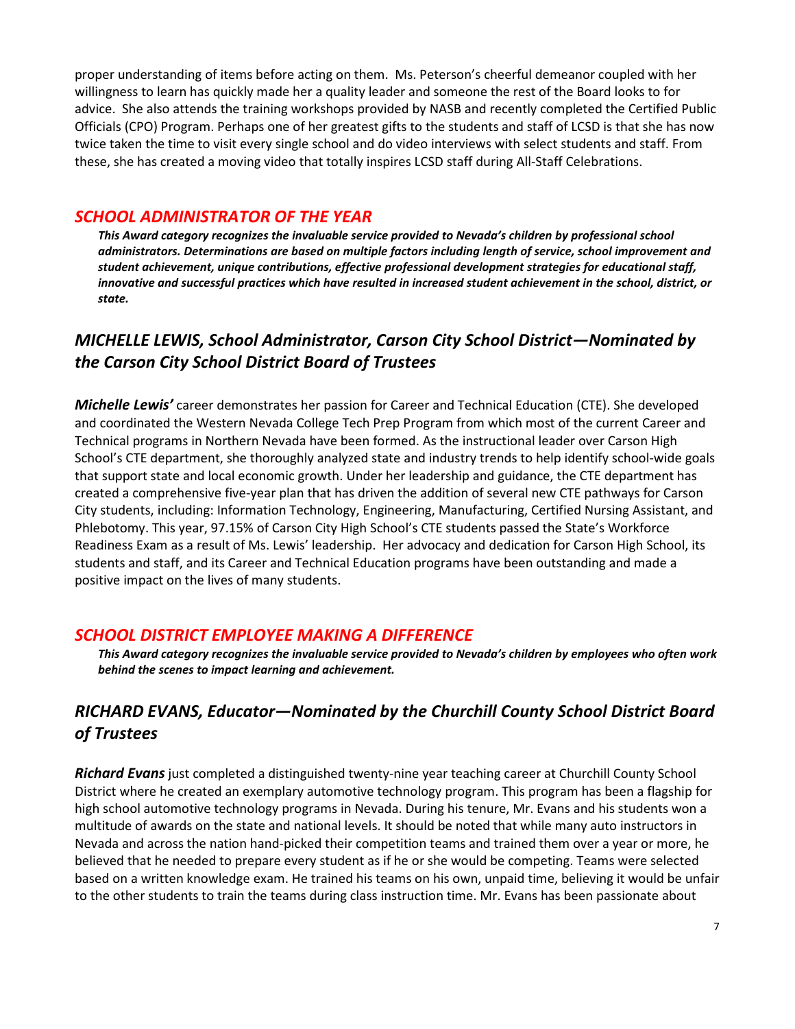proper understanding of items before acting on them. Ms. Peterson's cheerful demeanor coupled with her willingness to learn has quickly made her a quality leader and someone the rest of the Board looks to for advice. She also attends the training workshops provided by NASB and recently completed the Certified Public Officials (CPO) Program. Perhaps one of her greatest gifts to the students and staff of LCSD is that she has now twice taken the time to visit every single school and do video interviews with select students and staff. From these, she has created a moving video that totally inspires LCSD staff during All-Staff Celebrations.

#### SCHOOL ADMINISTRATOR OF THE YEAR

This Award category recognizes the invaluable service provided to Nevada's children by professional school administrators. Determinations are based on multiple factors including length of service, school improvement and student achievement, unique contributions, effective professional development strategies for educational staff, innovative and successful practices which have resulted in increased student achievement in the school, district, or state.

# MICHELLE LEWIS, School Administrator, Carson City School District—Nominated by the Carson City School District Board of Trustees

Michelle Lewis' career demonstrates her passion for Career and Technical Education (CTE). She developed and coordinated the Western Nevada College Tech Prep Program from which most of the current Career and Technical programs in Northern Nevada have been formed. As the instructional leader over Carson High School's CTE department, she thoroughly analyzed state and industry trends to help identify school-wide goals that support state and local economic growth. Under her leadership and guidance, the CTE department has created a comprehensive five-year plan that has driven the addition of several new CTE pathways for Carson City students, including: Information Technology, Engineering, Manufacturing, Certified Nursing Assistant, and Phlebotomy. This year, 97.15% of Carson City High School's CTE students passed the State's Workforce Readiness Exam as a result of Ms. Lewis' leadership. Her advocacy and dedication for Carson High School, its students and staff, and its Career and Technical Education programs have been outstanding and made a positive impact on the lives of many students.

### SCHOOL DISTRICT EMPLOYEE MAKING A DIFFERENCE

This Award category recognizes the invaluable service provided to Nevada's children by employees who often work behind the scenes to impact learning and achievement.

# RICHARD EVANS, Educator—Nominated by the Churchill County School District Board of Trustees

**Richard Evans** just completed a distinguished twenty-nine year teaching career at Churchill County School District where he created an exemplary automotive technology program. This program has been a flagship for high school automotive technology programs in Nevada. During his tenure, Mr. Evans and his students won a multitude of awards on the state and national levels. It should be noted that while many auto instructors in Nevada and across the nation hand-picked their competition teams and trained them over a year or more, he believed that he needed to prepare every student as if he or she would be competing. Teams were selected based on a written knowledge exam. He trained his teams on his own, unpaid time, believing it would be unfair to the other students to train the teams during class instruction time. Mr. Evans has been passionate about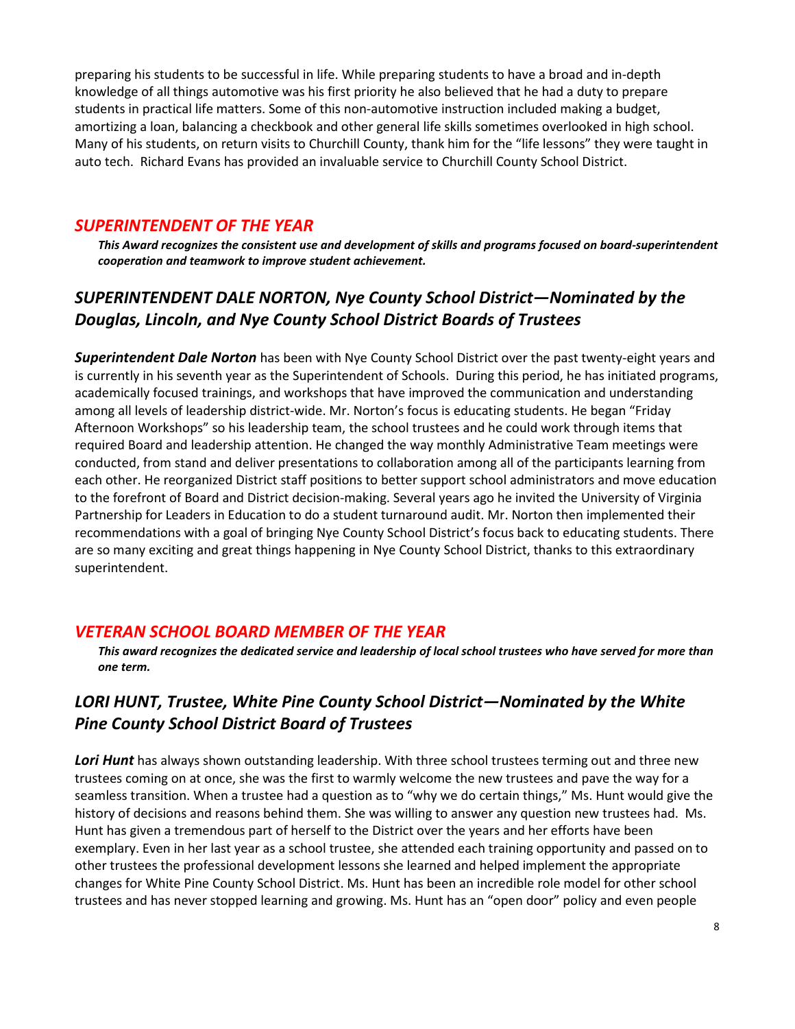preparing his students to be successful in life. While preparing students to have a broad and in-depth knowledge of all things automotive was his first priority he also believed that he had a duty to prepare students in practical life matters. Some of this non-automotive instruction included making a budget, amortizing a loan, balancing a checkbook and other general life skills sometimes overlooked in high school. Many of his students, on return visits to Churchill County, thank him for the "life lessons" they were taught in auto tech. Richard Evans has provided an invaluable service to Churchill County School District.

### SUPERINTENDENT OF THE YEAR

This Award recognizes the consistent use and development of skills and programs focused on board-superintendent cooperation and teamwork to improve student achievement.

# SUPERINTENDENT DALE NORTON, Nye County School District—Nominated by the Douglas, Lincoln, and Nye County School District Boards of Trustees

Superintendent Dale Norton has been with Nye County School District over the past twenty-eight years and is currently in his seventh year as the Superintendent of Schools. During this period, he has initiated programs, academically focused trainings, and workshops that have improved the communication and understanding among all levels of leadership district-wide. Mr. Norton's focus is educating students. He began "Friday Afternoon Workshops" so his leadership team, the school trustees and he could work through items that required Board and leadership attention. He changed the way monthly Administrative Team meetings were conducted, from stand and deliver presentations to collaboration among all of the participants learning from each other. He reorganized District staff positions to better support school administrators and move education to the forefront of Board and District decision-making. Several years ago he invited the University of Virginia Partnership for Leaders in Education to do a student turnaround audit. Mr. Norton then implemented their recommendations with a goal of bringing Nye County School District's focus back to educating students. There are so many exciting and great things happening in Nye County School District, thanks to this extraordinary superintendent.

## VETERAN SCHOOL BOARD MEMBER OF THE YEAR

This award recognizes the dedicated service and leadership of local school trustees who have served for more than one term.

# LORI HUNT, Trustee, White Pine County School District—Nominated by the White Pine County School District Board of Trustees

**Lori Hunt** has always shown outstanding leadership. With three school trustees terming out and three new trustees coming on at once, she was the first to warmly welcome the new trustees and pave the way for a seamless transition. When a trustee had a question as to "why we do certain things," Ms. Hunt would give the history of decisions and reasons behind them. She was willing to answer any question new trustees had. Ms. Hunt has given a tremendous part of herself to the District over the years and her efforts have been exemplary. Even in her last year as a school trustee, she attended each training opportunity and passed on to other trustees the professional development lessons she learned and helped implement the appropriate changes for White Pine County School District. Ms. Hunt has been an incredible role model for other school trustees and has never stopped learning and growing. Ms. Hunt has an "open door" policy and even people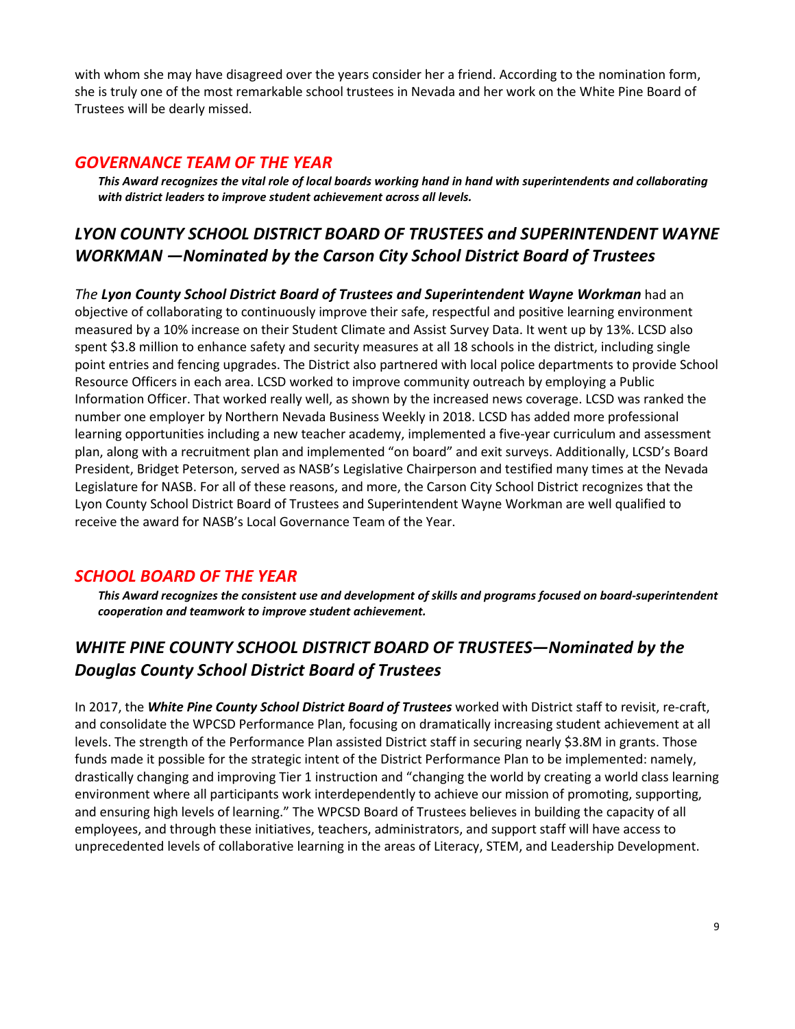with whom she may have disagreed over the years consider her a friend. According to the nomination form, she is truly one of the most remarkable school trustees in Nevada and her work on the White Pine Board of Trustees will be dearly missed.

#### GOVERNANCE TEAM OF THE YEAR

This Award recognizes the vital role of local boards working hand in hand with superintendents and collaborating with district leaders to improve student achievement across all levels.

# LYON COUNTY SCHOOL DISTRICT BOARD OF TRUSTEES and SUPERINTENDENT WAYNE WORKMAN —Nominated by the Carson City School District Board of Trustees

The Lyon County School District Board of Trustees and Superintendent Wayne Workman had an objective of collaborating to continuously improve their safe, respectful and positive learning environment measured by a 10% increase on their Student Climate and Assist Survey Data. It went up by 13%. LCSD also spent \$3.8 million to enhance safety and security measures at all 18 schools in the district, including single point entries and fencing upgrades. The District also partnered with local police departments to provide School Resource Officers in each area. LCSD worked to improve community outreach by employing a Public Information Officer. That worked really well, as shown by the increased news coverage. LCSD was ranked the number one employer by Northern Nevada Business Weekly in 2018. LCSD has added more professional learning opportunities including a new teacher academy, implemented a five-year curriculum and assessment plan, along with a recruitment plan and implemented "on board" and exit surveys. Additionally, LCSD's Board President, Bridget Peterson, served as NASB's Legislative Chairperson and testified many times at the Nevada Legislature for NASB. For all of these reasons, and more, the Carson City School District recognizes that the Lyon County School District Board of Trustees and Superintendent Wayne Workman are well qualified to receive the award for NASB's Local Governance Team of the Year.

### SCHOOL BOARD OF THE YEAR

This Award recognizes the consistent use and development of skills and programs focused on board-superintendent cooperation and teamwork to improve student achievement.

# WHITE PINE COUNTY SCHOOL DISTRICT BOARD OF TRUSTEES—Nominated by the Douglas County School District Board of Trustees

In 2017, the White Pine County School District Board of Trustees worked with District staff to revisit, re-craft, and consolidate the WPCSD Performance Plan, focusing on dramatically increasing student achievement at all levels. The strength of the Performance Plan assisted District staff in securing nearly \$3.8M in grants. Those funds made it possible for the strategic intent of the District Performance Plan to be implemented: namely, drastically changing and improving Tier 1 instruction and "changing the world by creating a world class learning environment where all participants work interdependently to achieve our mission of promoting, supporting, and ensuring high levels of learning." The WPCSD Board of Trustees believes in building the capacity of all employees, and through these initiatives, teachers, administrators, and support staff will have access to unprecedented levels of collaborative learning in the areas of Literacy, STEM, and Leadership Development.